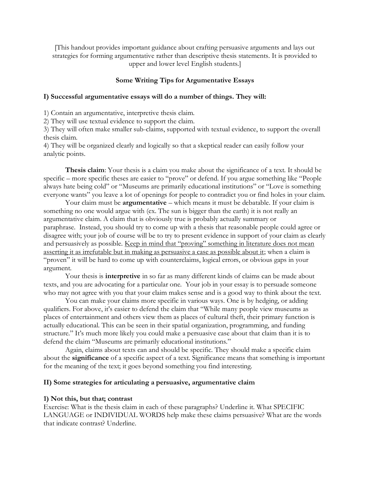[This handout provides important guidance about crafting persuasive arguments and lays out strategies for forming argumentative rather than descriptive thesis statements. It is provided to upper and lower level English students.]

## **Some Writing Tips for Argumentative Essays**

### **I) Successful argumentative essays will do a number of things. They will:**

1) Contain an argumentative, interpretive thesis claim.

2) They will use textual evidence to support the claim.

3) They will often make smaller sub-claims, supported with textual evidence, to support the overall thesis claim.

4) They will be organized clearly and logically so that a skeptical reader can easily follow your analytic points.

**Thesis claim**: Your thesis is a claim you make about the significance of a text. It should be specific – more specific theses are easier to "prove" or defend. If you argue something like "People always hate being cold" or "Museums are primarily educational institutions" or "Love is something everyone wants" you leave a lot of openings for people to contradict you or find holes in your claim.

Your claim must be **argumentative** – which means it must be debatable. If your claim is something no one would argue with (ex. The sun is bigger than the earth) it is not really an argumentative claim. A claim that is obviously true is probably actually summary or paraphrase. Instead, you should try to come up with a thesis that reasonable people could agree or disagree with; your job of course will be to try to present evidence in support of your claim as clearly and persuasively as possible. Keep in mind that "proving" something in literature does not mean asserting it as irrefutable but in making as persuasive a case as possible about it; when a claim is "proven" it will be hard to come up with counterclaims, logical errors, or obvious gaps in your argument.

Your thesis is **interpretive** in so far as many different kinds of claims can be made about texts, and you are advocating for a particular one. Your job in your essay is to persuade someone who may not agree with you that your claim makes sense and is a good way to think about the text.

You can make your claims more specific in various ways. One is by hedging, or adding qualifiers. For above, it's easier to defend the claim that "While many people view museums as places of entertainment and others view them as places of cultural theft, their primary function is actually educational. This can be seen in their spatial organization, programming, and funding structure." It's much more likely you could make a persuasive case about that claim than it is to defend the claim "Museums are primarily educational institutions."

Again, claims about texts can and should be specific. They should make a specific claim about the **significance** of a specific aspect of a text. Significance means that something is important for the meaning of the text; it goes beyond something you find interesting.

### **II) Some strategies for articulating a persuasive, argumentative claim**

#### **1) Not this, but that; contrast**

Exercise: What is the thesis claim in each of these paragraphs? Underline it. What SPECIFIC LANGUAGE or INDIVIDUAL WORDS help make these claims persuasive? What are the words that indicate contrast? Underline.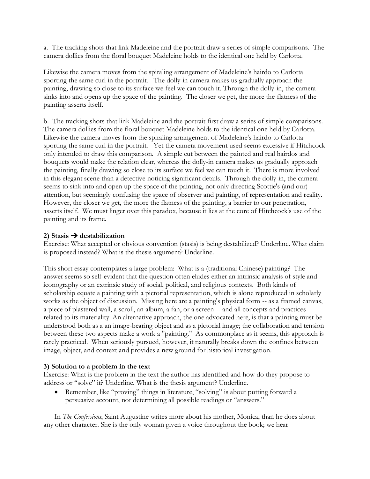a. The tracking shots that link Madeleine and the portrait draw a series of simple comparisons. The camera dollies from the floral bouquet Madeleine holds to the identical one held by Carlotta.

Likewise the camera moves from the spiraling arrangement of Madeleine's hairdo to Carlotta sporting the same curl in the portrait. The dolly-in camera makes us gradually approach the painting, drawing so close to its surface we feel we can touch it. Through the dolly-in, the camera sinks into and opens up the space of the painting. The closer we get, the more the flatness of the painting asserts itself.

b. The tracking shots that link Madeleine and the portrait first draw a series of simple comparisons. The camera dollies from the floral bouquet Madeleine holds to the identical one held by Carlotta. Likewise the camera moves from the spiraling arrangement of Madeleine's hairdo to Carlotta sporting the same curl in the portrait. Yet the camera movement used seems excessive if Hitchcock only intended to draw this comparison. A simple cut between the painted and real hairdos and bouquets would make the relation clear, whereas the dolly-in camera makes us gradually approach the painting, finally drawing so close to its surface we feel we can touch it. There is more involved in this elegant scene than a detective noticing significant details. Through the dolly-in, the camera seems to sink into and open up the space of the painting, not only directing Scottie's (and our) attention, but seemingly confusing the space of observer and painting, of representation and reality. However, the closer we get, the more the flatness of the painting, a barrier to our penetration, asserts itself. We must linger over this paradox, because it lies at the core of Hitchcock's use of the painting and its frame.

# 2) Stasis  $\rightarrow$  destabilization

Exercise: What accepted or obvious convention (stasis) is being destabilized? Underline. What claim is proposed instead? What is the thesis argument? Underline.

This short essay contemplates a large problem: What is a (traditional Chinese) painting? The answer seems so self-evident that the question often eludes either an intrinsic analysis of style and iconography or an extrinsic study of social, political, and religious contexts. Both kinds of scholarship equate a painting with a pictorial representation, which is alone reproduced in scholarly works as the object of discussion. Missing here are a painting's physical form -- as a framed canvas, a piece of plastered wall, a scroll, an album, a fan, or a screen -- and all concepts and practices related to its materiality. An alternative approach, the one advocated here, is that a painting must be understood both as a an image-bearing object and as a pictorial image; the collaboration and tension between these two aspects make a work a "painting." As commonplace as it seems, this approach is rarely practiced. When seriously pursued, however, it naturally breaks down the confines between image, object, and context and provides a new ground for historical investigation.

# **3) Solution to a problem in the text**

Exercise: What is the problem in the text the author has identified and how do they propose to address or "solve" it? Underline. What is the thesis argument? Underline.

• Remember, like "proving" things in literature, "solving" is about putting forward a persuasive account, not determining all possible readings or "answers."

In *The Confessions*, Saint Augustine writes more about his mother, Monica, than he does about any other character. She is the only woman given a voice throughout the book; we hear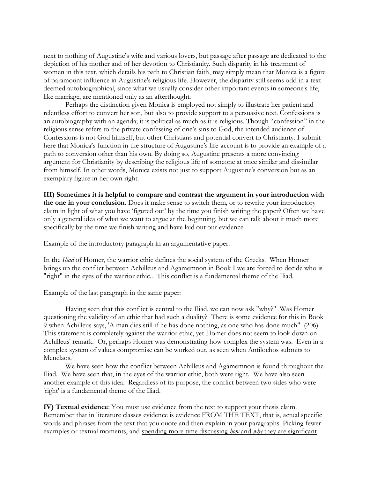next to nothing of Augustine's wife and various lovers, but passage after passage are dedicated to the depiction of his mother and of her devotion to Christianity. Such disparity in his treatment of women in this text, which details his path to Christian faith, may simply mean that Monica is a figure of paramount influence in Augustine's religious life. However, the disparity still seems odd in a text deemed autobiographical, since what we usually consider other important events in someone's life, like marriage, are mentioned only as an afterthought.

Perhaps the distinction given Monica is employed not simply to illustrate her patient and relentless effort to convert her son, but also to provide support to a persuasive text. Confessions is an autobiography with an agenda; it is political as much as it is religious. Though "confession" in the religious sense refers to the private confessing of one's sins to God, the intended audience of Confessions is not God himself, but other Christians and potential convert to Christianty. I submit here that Monica's function in the structure of Augustine's life-account is to provide an example of a path to conversion other than his own. By doing so, Augustine presents a more convincing argument for Christianity by describing the religious life of someone at once similar and dissimilar from himself. In other words, Monica exists not just to support Augustine's conversion but as an exemplary figure in her own right.

**III) Sometimes it is helpful to compare and contrast the argument in your introduction with the one in your conclusion**. Does it make sense to switch them, or to rewrite your introductory claim in light of what you have 'figured out' by the time you finish writing the paper? Often we have only a general idea of what we want to argue at the beginning, but we can talk about it much more specifically by the time we finish writing and have laid out our evidence.

Example of the introductory paragraph in an argumentative paper:

In the *Iliad* of Homer, the warrior ethic defines the social system of the Greeks. When Homer brings up the conflict between Achilleus and Agamemnon in Book I we are forced to decide who is "right" in the eyes of the warrior ethic.. This conflict is a fundamental theme of the Iliad.

Example of the last paragraph in the same paper:

Having seen that this conflict is central to the Iliad, we can now ask "why?" Was Homer questioning the validity of an ethic that had such a duality? There is some evidence for this in Book 9 when Achilleus says, 'A man dies still if he has done nothing, as one who has done much" (206). This statement is completely against the warrior ethic, yet Homer does not seem to look down on Achilleus' remark. Or, perhaps Homer was demonstrating how complex the system was. Even in a complex system of values compromise can be worked out, as seen when Antilochos submits to Menelaos.

We have seen how the conflict between Achilleus and Agamemnon is found throughout the Iliad. We have seen that, in the eyes of the warrior ethic, both were right. We have also seen another example of this idea. Regardless of its purpose, the conflict between two sides who were 'right' is a fundamental theme of the Iliad.

**IV) Textual evidence**: You must use evidence from the text to support your thesis claim. Remember that in literature classes evidence is evidence FROM THE TEXT, that is, actual specific words and phrases from the text that you quote and then explain in your paragraphs. Picking fewer examples or textual moments, and spending more time discussing *how* and *why* they are significant